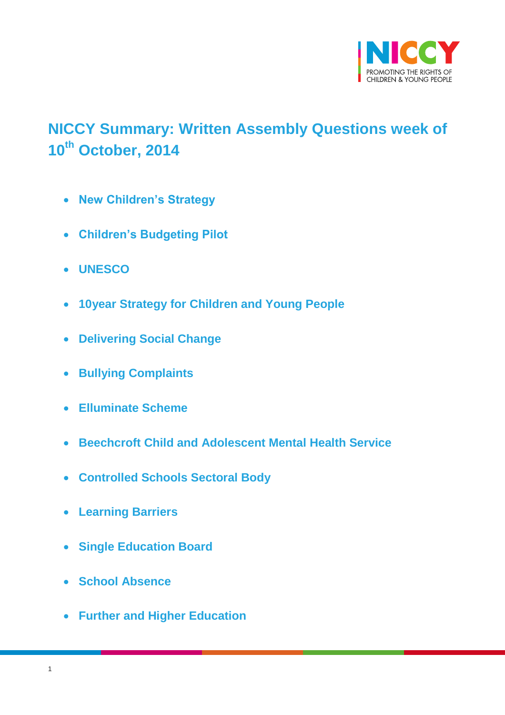

# <span id="page-0-0"></span>**NICCY Summary: Written Assembly Questions week of 10th October, 2014**

- **[New Children's Strategy](#page-2-0)**
- **[Children's Budgeting Pilot](#page-2-1)**
- **[UNESCO](#page-3-0)**
- **[10year Strategy for Children and Young People](#page-3-1)**
- **[Delivering Social Change](#page-4-0)**
- **[Bullying Complaints](#page-5-0)**
- **[Elluminate Scheme](#page-5-1)**
- **[Beechcroft Child and Adolescent Mental Health Service](#page-6-0)**
- **[Controlled Schools Sectoral Body](#page-6-1)**
- **[Learning Barriers](#page-7-0)**
- **[Single Education Board](#page-8-0)**
- **[School Absence](#page-8-1)**
- **[Further and Higher Education](#page-10-0)**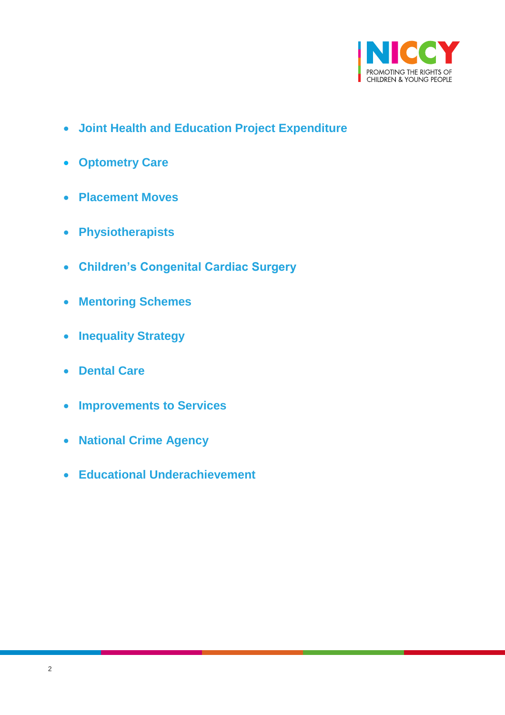

- **[Joint Health and Education Project Expenditure](#page-13-0)**
- **[Optometry Care](#page-13-1)**
- **[Placement Moves](#page-14-0)**
- **[Physiotherapists](#page-15-0)**
- **[Children's Congenital Cardiac Surgery](#page-16-0)**
- **[Mentoring Schemes](#page-16-1)**
- **[Inequality Strategy](#page-17-0)**
- **[Dental Care](#page-18-0)**
- **[Improvements to Services](#page-20-0)**
- **[National Crime Agency](#page-23-0)**
- **[Educational Underachievement](#page-24-0)**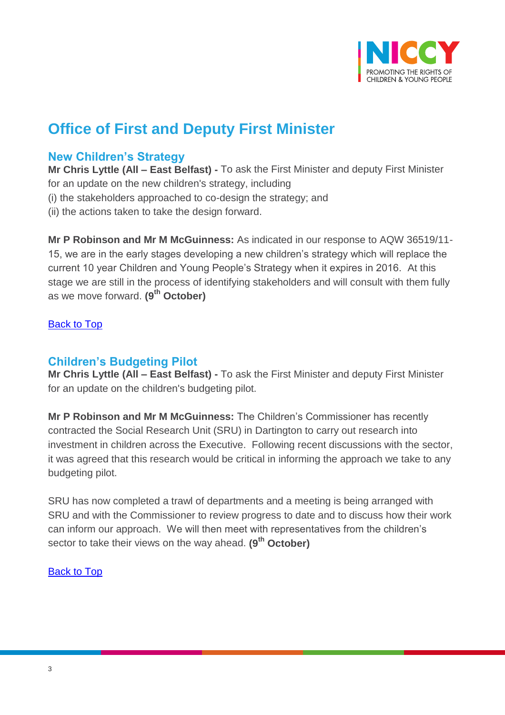

# **Office of First and Deputy First Minister**

## <span id="page-2-0"></span>**New Children's Strategy**

**Mr Chris Lyttle (All – East Belfast) -** To ask the First Minister and deputy First Minister for an update on the new children's strategy, including

(i) the stakeholders approached to co-design the strategy; and

(ii) the actions taken to take the design forward.

**Mr P Robinson and Mr M McGuinness:** As indicated in our response to AQW 36519/11- 15, we are in the early stages developing a new children's strategy which will replace the current 10 year Children and Young People's Strategy when it expires in 2016. At this stage we are still in the process of identifying stakeholders and will consult with them fully as we move forward. **(9th October)**

#### [Back to Top](#page-0-0)

## <span id="page-2-1"></span>**Children's Budgeting Pilot**

**Mr Chris Lyttle (All – East Belfast) -** To ask the First Minister and deputy First Minister for an update on the children's budgeting pilot.

**Mr P Robinson and Mr M McGuinness:** The Children's Commissioner has recently contracted the Social Research Unit (SRU) in Dartington to carry out research into investment in children across the Executive. Following recent discussions with the sector, it was agreed that this research would be critical in informing the approach we take to any budgeting pilot.

SRU has now completed a trawl of departments and a meeting is being arranged with SRU and with the Commissioner to review progress to date and to discuss how their work can inform our approach. We will then meet with representatives from the children's sector to take their views on the way ahead. **(9th October)**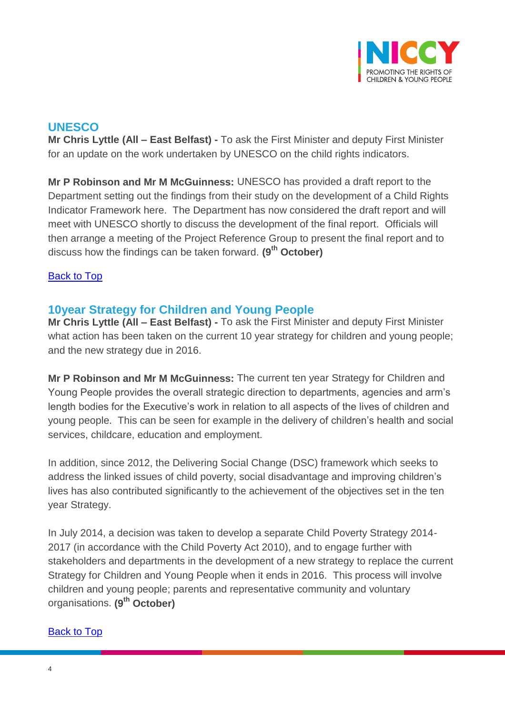

# <span id="page-3-0"></span>**UNESCO**

**Mr Chris Lyttle (All – East Belfast) -** To ask the First Minister and deputy First Minister for an update on the work undertaken by UNESCO on the child rights indicators.

**Mr P Robinson and Mr M McGuinness:** UNESCO has provided a draft report to the Department setting out the findings from their study on the development of a Child Rights Indicator Framework here. The Department has now considered the draft report and will meet with UNESCO shortly to discuss the development of the final report. Officials will then arrange a meeting of the Project Reference Group to present the final report and to discuss how the findings can be taken forward. **(9th October)**

## [Back to Top](#page-0-0)

# <span id="page-3-1"></span>**10year Strategy for Children and Young People**

**Mr Chris Lyttle (All – East Belfast) -** To ask the First Minister and deputy First Minister what action has been taken on the current 10 year strategy for children and young people; and the new strategy due in 2016.

**Mr P Robinson and Mr M McGuinness:** The current ten year Strategy for Children and Young People provides the overall strategic direction to departments, agencies and arm's length bodies for the Executive's work in relation to all aspects of the lives of children and young people. This can be seen for example in the delivery of children's health and social services, childcare, education and employment.

In addition, since 2012, the Delivering Social Change (DSC) framework which seeks to address the linked issues of child poverty, social disadvantage and improving children's lives has also contributed significantly to the achievement of the objectives set in the ten year Strategy.

In July 2014, a decision was taken to develop a separate Child Poverty Strategy 2014- 2017 (in accordance with the Child Poverty Act 2010), and to engage further with stakeholders and departments in the development of a new strategy to replace the current Strategy for Children and Young People when it ends in 2016. This process will involve children and young people; parents and representative community and voluntary organisations. **(9th October)**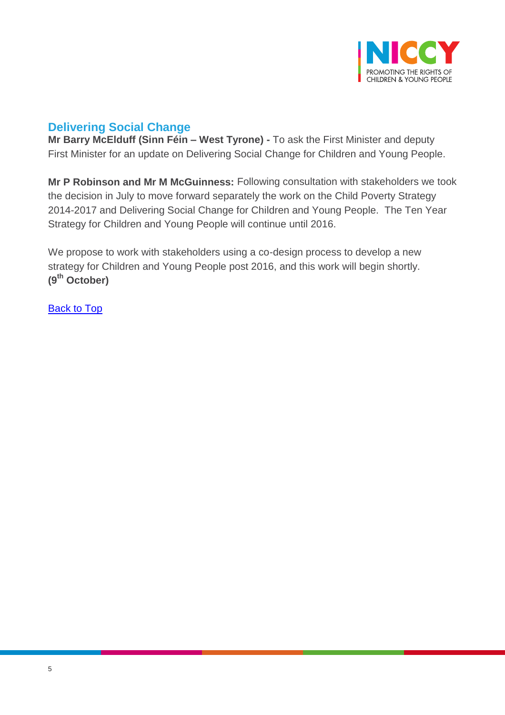

# <span id="page-4-0"></span>**Delivering Social Change**

**Mr Barry McElduff (Sinn Féin – West Tyrone) -** To ask the First Minister and deputy First Minister for an update on Delivering Social Change for Children and Young People.

**Mr P Robinson and Mr M McGuinness:** Following consultation with stakeholders we took the decision in July to move forward separately the work on the Child Poverty Strategy 2014-2017 and Delivering Social Change for Children and Young People. The Ten Year Strategy for Children and Young People will continue until 2016.

We propose to work with stakeholders using a co-design process to develop a new strategy for Children and Young People post 2016, and this work will begin shortly. **(9th October)**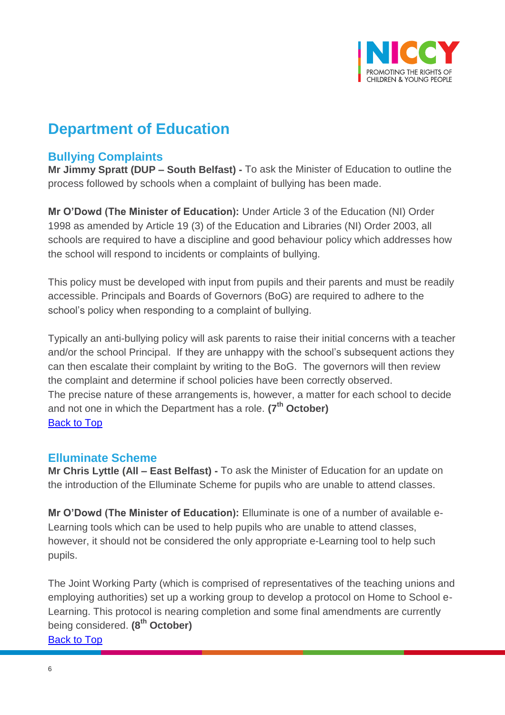

# **Department of Education**

# <span id="page-5-0"></span>**Bullying Complaints**

**Mr Jimmy Spratt (DUP – South Belfast) -** To ask the Minister of Education to outline the process followed by schools when a complaint of bullying has been made.

**Mr O'Dowd (The Minister of Education):** Under Article 3 of the Education (NI) Order 1998 as amended by Article 19 (3) of the Education and Libraries (NI) Order 2003, all schools are required to have a discipline and good behaviour policy which addresses how the school will respond to incidents or complaints of bullying.

This policy must be developed with input from pupils and their parents and must be readily accessible. Principals and Boards of Governors (BoG) are required to adhere to the school's policy when responding to a complaint of bullying.

Typically an anti-bullying policy will ask parents to raise their initial concerns with a teacher and/or the school Principal. If they are unhappy with the school's subsequent actions they can then escalate their complaint by writing to the BoG. The governors will then review the complaint and determine if school policies have been correctly observed. The precise nature of these arrangements is, however, a matter for each school to decide and not one in which the Department has a role. **(7th October)** [Back to Top](#page-0-0)

## <span id="page-5-1"></span>**Elluminate Scheme**

**Mr Chris Lyttle (All – East Belfast) -** To ask the Minister of Education for an update on the introduction of the Elluminate Scheme for pupils who are unable to attend classes.

**Mr O'Dowd (The Minister of Education):** Elluminate is one of a number of available e-Learning tools which can be used to help pupils who are unable to attend classes, however, it should not be considered the only appropriate e-Learning tool to help such pupils.

The Joint Working Party (which is comprised of representatives of the teaching unions and employing authorities) set up a working group to develop a protocol on Home to School e-Learning. This protocol is nearing completion and some final amendments are currently being considered. **(8th October)**  [Back to Top](#page-0-0)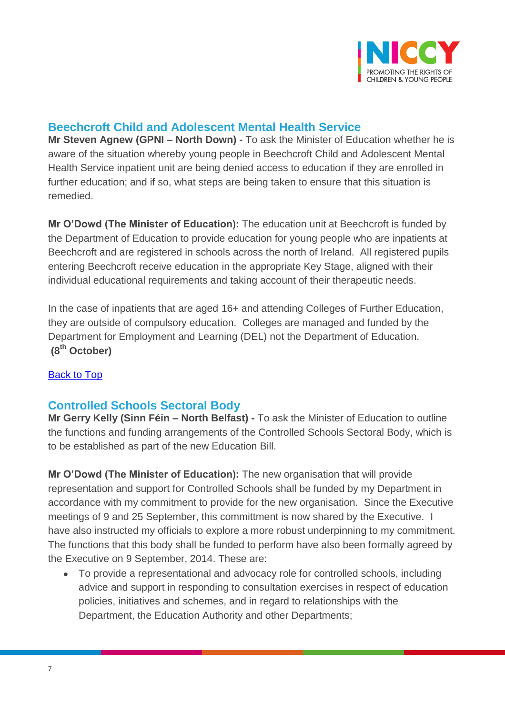

# <span id="page-6-0"></span>**Beechcroft Child and Adolescent Mental Health Service**

**Mr Steven Agnew (GPNI – North Down) -** To ask the Minister of Education whether he is aware of the situation whereby young people in Beechcroft Child and Adolescent Mental Health Service inpatient unit are being denied access to education if they are enrolled in further education; and if so, what steps are being taken to ensure that this situation is remedied.

**Mr O'Dowd (The Minister of Education):** The education unit at Beechcroft is funded by the Department of Education to provide education for young people who are inpatients at Beechcroft and are registered in schools across the north of Ireland. All registered pupils entering Beechcroft receive education in the appropriate Key Stage, aligned with their individual educational requirements and taking account of their therapeutic needs.

In the case of inpatients that are aged 16+ and attending Colleges of Further Education, they are outside of compulsory education. Colleges are managed and funded by the Department for Employment and Learning (DEL) not the Department of Education. **(8th October)**

## **[Back to Top](#page-0-0)**

## <span id="page-6-1"></span>**Controlled Schools Sectoral Body**

**Mr Gerry Kelly (Sinn Féin – North Belfast) -** To ask the Minister of Education to outline the functions and funding arrangements of the Controlled Schools Sectoral Body, which is to be established as part of the new Education Bill.

**Mr O'Dowd (The Minister of Education):** The new organisation that will provide representation and support for Controlled Schools shall be funded by my Department in accordance with my commitment to provide for the new organisation. Since the Executive meetings of 9 and 25 September, this committment is now shared by the Executive. I have also instructed my officials to explore a more robust underpinning to my commitment. The functions that this body shall be funded to perform have also been formally agreed by the Executive on 9 September, 2014. These are:

 To provide a representational and advocacy role for controlled schools, including advice and support in responding to consultation exercises in respect of education policies, initiatives and schemes, and in regard to relationships with the Department, the Education Authority and other Departments;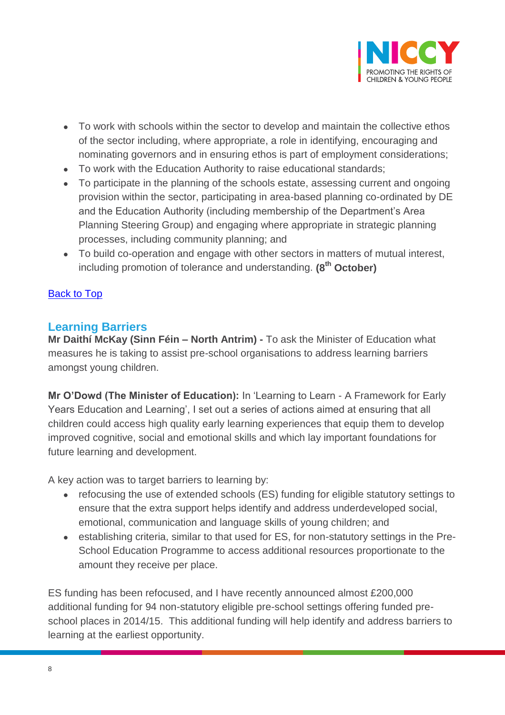

- To work with schools within the sector to develop and maintain the collective ethos of the sector including, where appropriate, a role in identifying, encouraging and nominating governors and in ensuring ethos is part of employment considerations;
- To work with the Education Authority to raise educational standards;
- To participate in the planning of the schools estate, assessing current and ongoing provision within the sector, participating in area-based planning co-ordinated by DE and the Education Authority (including membership of the Department's Area Planning Steering Group) and engaging where appropriate in strategic planning processes, including community planning; and
- To build co-operation and engage with other sectors in matters of mutual interest, including promotion of tolerance and understanding. **(8th October)**

## [Back to Top](#page-0-0)

# <span id="page-7-0"></span>**Learning Barriers**

**Mr Daithí McKay (Sinn Féin – North Antrim) -** To ask the Minister of Education what measures he is taking to assist pre-school organisations to address learning barriers amongst young children.

**Mr O'Dowd (The Minister of Education):** In 'Learning to Learn - A Framework for Early Years Education and Learning', I set out a series of actions aimed at ensuring that all children could access high quality early learning experiences that equip them to develop improved cognitive, social and emotional skills and which lay important foundations for future learning and development.

A key action was to target barriers to learning by:

- refocusing the use of extended schools (ES) funding for eligible statutory settings to ensure that the extra support helps identify and address underdeveloped social, emotional, communication and language skills of young children; and
- establishing criteria, similar to that used for ES, for non-statutory settings in the Pre-School Education Programme to access additional resources proportionate to the amount they receive per place.

ES funding has been refocused, and I have recently announced almost £200,000 additional funding for 94 non-statutory eligible pre-school settings offering funded preschool places in 2014/15. This additional funding will help identify and address barriers to learning at the earliest opportunity.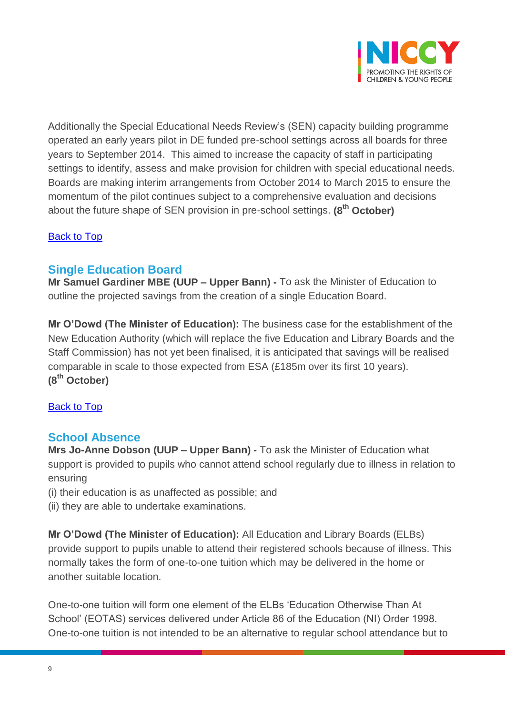

Additionally the Special Educational Needs Review's (SEN) capacity building programme operated an early years pilot in DE funded pre-school settings across all boards for three years to September 2014. This aimed to increase the capacity of staff in participating settings to identify, assess and make provision for children with special educational needs. Boards are making interim arrangements from October 2014 to March 2015 to ensure the momentum of the pilot continues subject to a comprehensive evaluation and decisions about the future shape of SEN provision in pre-school settings. **(8th October)**

## **[Back to Top](#page-0-0)**

## <span id="page-8-0"></span>**Single Education Board**

**Mr Samuel Gardiner MBE (UUP – Upper Bann) -** To ask the Minister of Education to outline the projected savings from the creation of a single Education Board.

**Mr O'Dowd (The Minister of Education):** The business case for the establishment of the New Education Authority (which will replace the five Education and Library Boards and the Staff Commission) has not yet been finalised, it is anticipated that savings will be realised comparable in scale to those expected from ESA (£185m over its first 10 years). **(8th October)**

## [Back to Top](#page-0-0)

## <span id="page-8-1"></span>**School Absence**

**Mrs Jo-Anne Dobson (UUP – Upper Bann) -** To ask the Minister of Education what support is provided to pupils who cannot attend school regularly due to illness in relation to ensuring

- (i) their education is as unaffected as possible; and
- (ii) they are able to undertake examinations.

**Mr O'Dowd (The Minister of Education):** All Education and Library Boards (ELBs) provide support to pupils unable to attend their registered schools because of illness. This normally takes the form of one-to-one tuition which may be delivered in the home or another suitable location.

One-to-one tuition will form one element of the ELBs 'Education Otherwise Than At School' (EOTAS) services delivered under Article 86 of the Education (NI) Order 1998. One-to-one tuition is not intended to be an alternative to regular school attendance but to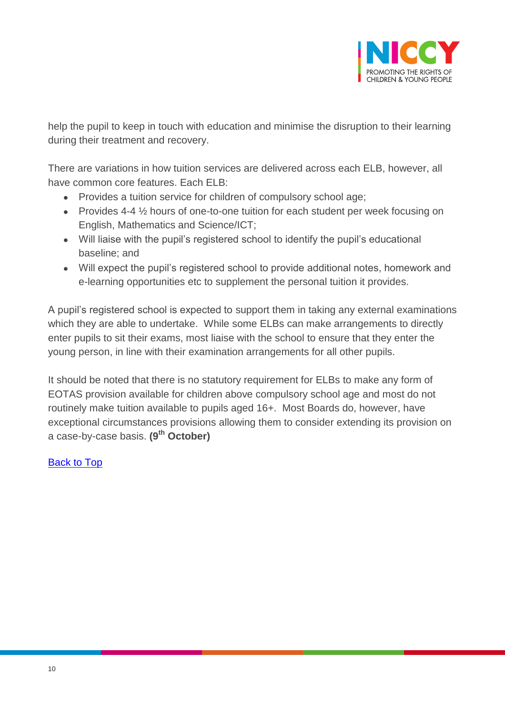

help the pupil to keep in touch with education and minimise the disruption to their learning during their treatment and recovery.

There are variations in how tuition services are delivered across each ELB, however, all have common core features. Each ELB:

- Provides a tuition service for children of compulsory school age;
- Provides 4-4  $\frac{1}{2}$  hours of one-to-one tuition for each student per week focusing on English, Mathematics and Science/ICT;
- Will liaise with the pupil's registered school to identify the pupil's educational baseline; and
- Will expect the pupil's registered school to provide additional notes, homework and e-learning opportunities etc to supplement the personal tuition it provides.

A pupil's registered school is expected to support them in taking any external examinations which they are able to undertake. While some ELBs can make arrangements to directly enter pupils to sit their exams, most liaise with the school to ensure that they enter the young person, in line with their examination arrangements for all other pupils.

It should be noted that there is no statutory requirement for ELBs to make any form of EOTAS provision available for children above compulsory school age and most do not routinely make tuition available to pupils aged 16+. Most Boards do, however, have exceptional circumstances provisions allowing them to consider extending its provision on a case-by-case basis. **(9th October)**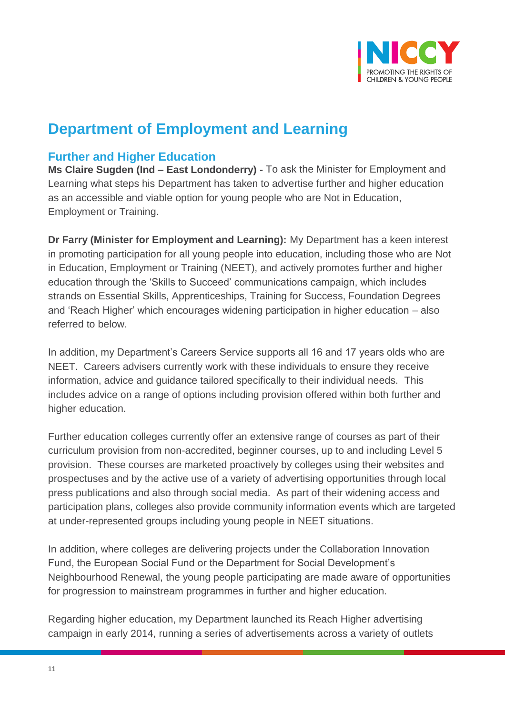

# **Department of Employment and Learning**

# <span id="page-10-0"></span>**Further and Higher Education**

**Ms Claire Sugden (Ind – East Londonderry) -** To ask the Minister for Employment and Learning what steps his Department has taken to advertise further and higher education as an accessible and viable option for young people who are Not in Education, Employment or Training.

**Dr Farry (Minister for Employment and Learning):** My Department has a keen interest in promoting participation for all young people into education, including those who are Not in Education, Employment or Training (NEET), and actively promotes further and higher education through the 'Skills to Succeed' communications campaign, which includes strands on Essential Skills, Apprenticeships, Training for Success, Foundation Degrees and 'Reach Higher' which encourages widening participation in higher education – also referred to below.

In addition, my Department's Careers Service supports all 16 and 17 years olds who are NEET. Careers advisers currently work with these individuals to ensure they receive information, advice and guidance tailored specifically to their individual needs. This includes advice on a range of options including provision offered within both further and higher education.

Further education colleges currently offer an extensive range of courses as part of their curriculum provision from non-accredited, beginner courses, up to and including Level 5 provision. These courses are marketed proactively by colleges using their websites and prospectuses and by the active use of a variety of advertising opportunities through local press publications and also through social media. As part of their widening access and participation plans, colleges also provide community information events which are targeted at under-represented groups including young people in NEET situations.

In addition, where colleges are delivering projects under the Collaboration Innovation Fund, the European Social Fund or the Department for Social Development's Neighbourhood Renewal, the young people participating are made aware of opportunities for progression to mainstream programmes in further and higher education.

Regarding higher education, my Department launched its Reach Higher advertising campaign in early 2014, running a series of advertisements across a variety of outlets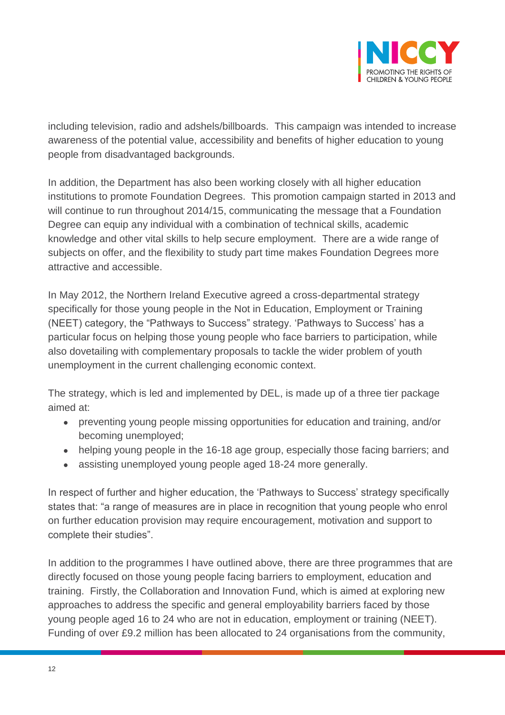

including television, radio and adshels/billboards. This campaign was intended to increase awareness of the potential value, accessibility and benefits of higher education to young people from disadvantaged backgrounds.

In addition, the Department has also been working closely with all higher education institutions to promote Foundation Degrees. This promotion campaign started in 2013 and will continue to run throughout 2014/15, communicating the message that a Foundation Degree can equip any individual with a combination of technical skills, academic knowledge and other vital skills to help secure employment. There are a wide range of subjects on offer, and the flexibility to study part time makes Foundation Degrees more attractive and accessible.

In May 2012, the Northern Ireland Executive agreed a cross-departmental strategy specifically for those young people in the Not in Education, Employment or Training (NEET) category, the "Pathways to Success" strategy. 'Pathways to Success' has a particular focus on helping those young people who face barriers to participation, while also dovetailing with complementary proposals to tackle the wider problem of youth unemployment in the current challenging economic context.

The strategy, which is led and implemented by DEL, is made up of a three tier package aimed at:

- preventing young people missing opportunities for education and training, and/or becoming unemployed;
- helping young people in the 16-18 age group, especially those facing barriers; and
- assisting unemployed young people aged 18-24 more generally.

In respect of further and higher education, the 'Pathways to Success' strategy specifically states that: "a range of measures are in place in recognition that young people who enrol on further education provision may require encouragement, motivation and support to complete their studies".

In addition to the programmes I have outlined above, there are three programmes that are directly focused on those young people facing barriers to employment, education and training. Firstly, the Collaboration and Innovation Fund, which is aimed at exploring new approaches to address the specific and general employability barriers faced by those young people aged 16 to 24 who are not in education, employment or training (NEET). Funding of over £9.2 million has been allocated to 24 organisations from the community,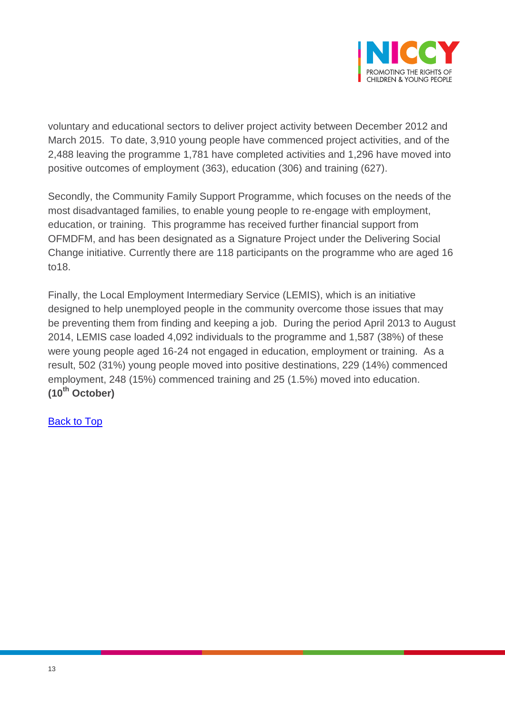

voluntary and educational sectors to deliver project activity between December 2012 and March 2015. To date, 3,910 young people have commenced project activities, and of the 2,488 leaving the programme 1,781 have completed activities and 1,296 have moved into positive outcomes of employment (363), education (306) and training (627).

Secondly, the Community Family Support Programme, which focuses on the needs of the most disadvantaged families, to enable young people to re-engage with employment, education, or training. This programme has received further financial support from OFMDFM, and has been designated as a Signature Project under the Delivering Social Change initiative. Currently there are 118 participants on the programme who are aged 16 to18.

Finally, the Local Employment Intermediary Service (LEMIS), which is an initiative designed to help unemployed people in the community overcome those issues that may be preventing them from finding and keeping a job. During the period April 2013 to August 2014, LEMIS case loaded 4,092 individuals to the programme and 1,587 (38%) of these were young people aged 16-24 not engaged in education, employment or training. As a result, 502 (31%) young people moved into positive destinations, 229 (14%) commenced employment, 248 (15%) commenced training and 25 (1.5%) moved into education. **(10th October)**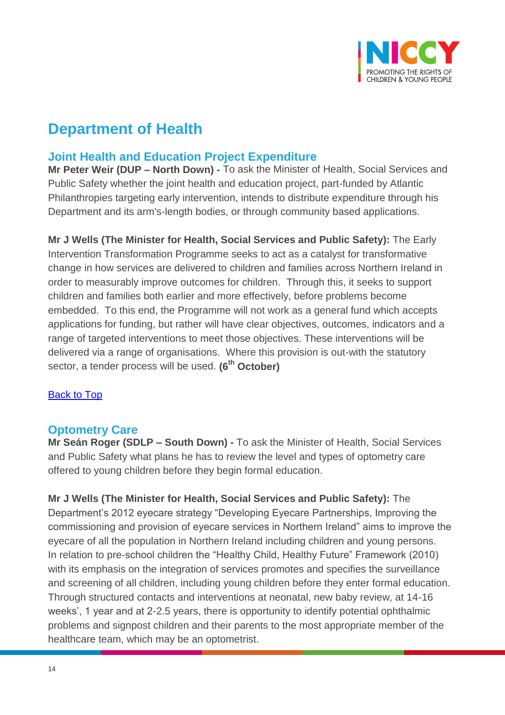

# **Department of Health**

# <span id="page-13-0"></span>**Joint Health and Education Project Expenditure**

**Mr Peter Weir (DUP – North Down) -** To ask the Minister of Health, Social Services and Public Safety whether the joint health and education project, part-funded by Atlantic Philanthropies targeting early intervention, intends to distribute expenditure through his Department and its arm's-length bodies, or through community based applications.

**Mr J Wells (The Minister for Health, Social Services and Public Safety):** The Early Intervention Transformation Programme seeks to act as a catalyst for transformative change in how services are delivered to children and families across Northern Ireland in order to measurably improve outcomes for children. Through this, it seeks to support children and families both earlier and more effectively, before problems become embedded. To this end, the Programme will not work as a general fund which accepts applications for funding, but rather will have clear objectives, outcomes, indicators and a range of targeted interventions to meet those objectives. These interventions will be delivered via a range of organisations. Where this provision is out-with the statutory sector, a tender process will be used. **(6th October)**

## [Back to Top](#page-0-0)

## <span id="page-13-1"></span>**Optometry Care**

**Mr Seán Roger (SDLP – South Down) -** To ask the Minister of Health, Social Services and Public Safety what plans he has to review the level and types of optometry care offered to young children before they begin formal education.

**Mr J Wells (The Minister for Health, Social Services and Public Safety):** The Department's 2012 eyecare strategy "Developing Eyecare Partnerships, Improving the commissioning and provision of eyecare services in Northern Ireland" aims to improve the eyecare of all the population in Northern Ireland including children and young persons. In relation to pre-school children the "Healthy Child, Healthy Future" Framework (2010) with its emphasis on the integration of services promotes and specifies the surveillance and screening of all children, including young children before they enter formal education. Through structured contacts and interventions at neonatal, new baby review, at 14-16 weeks', 1 year and at 2-2.5 years, there is opportunity to identify potential ophthalmic problems and signpost children and their parents to the most appropriate member of the healthcare team, which may be an optometrist.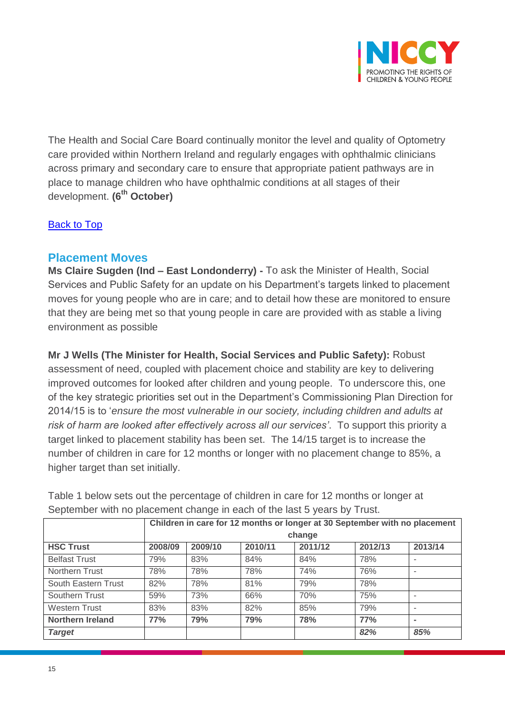

The Health and Social Care Board continually monitor the level and quality of Optometry care provided within Northern Ireland and regularly engages with ophthalmic clinicians across primary and secondary care to ensure that appropriate patient pathways are in place to manage children who have ophthalmic conditions at all stages of their development. **(6th October)**

#### [Back to Top](#page-0-0)

## <span id="page-14-0"></span>**Placement Moves**

**Ms Claire Sugden (Ind – East Londonderry) -** To ask the Minister of Health, Social Services and Public Safety for an update on his Department's targets linked to placement moves for young people who are in care; and to detail how these are monitored to ensure that they are being met so that young people in care are provided with as stable a living environment as possible

**Mr J Wells (The Minister for Health, Social Services and Public Safety):** Robust assessment of need, coupled with placement choice and stability are key to delivering improved outcomes for looked after children and young people. To underscore this, one of the key strategic priorities set out in the Department's Commissioning Plan Direction for 2014/15 is to '*ensure the most vulnerable in our society, including children and adults at risk of harm are looked after effectively across all our services'*. To support this priority a target linked to placement stability has been set. The 14/15 target is to increase the number of children in care for 12 months or longer with no placement change to 85%, a higher target than set initially.

|                         | Children in care for 12 months or longer at 30 September with no placement |         |         |         |         |         |
|-------------------------|----------------------------------------------------------------------------|---------|---------|---------|---------|---------|
|                         | change                                                                     |         |         |         |         |         |
| <b>HSC Trust</b>        | 2008/09                                                                    | 2009/10 | 2010/11 | 2011/12 | 2012/13 | 2013/14 |
| <b>Belfast Trust</b>    | 79%                                                                        | 83%     | 84%     | 84%     | 78%     |         |
| Northern Trust          | 78%                                                                        | 78%     | 78%     | 74%     | 76%     |         |
| South Eastern Trust     | 82%                                                                        | 78%     | 81%     | 79%     | 78%     |         |
| Southern Trust          | 59%                                                                        | 73%     | 66%     | 70%     | 75%     |         |
| <b>Western Trust</b>    | 83%                                                                        | 83%     | 82%     | 85%     | 79%     |         |
| <b>Northern Ireland</b> | 77%                                                                        | 79%     | 79%     | 78%     | 77%     |         |
| <b>Target</b>           |                                                                            |         |         |         | 82%     | 85%     |

Table 1 below sets out the percentage of children in care for 12 months or longer at September with no placement change in each of the last 5 years by Trust.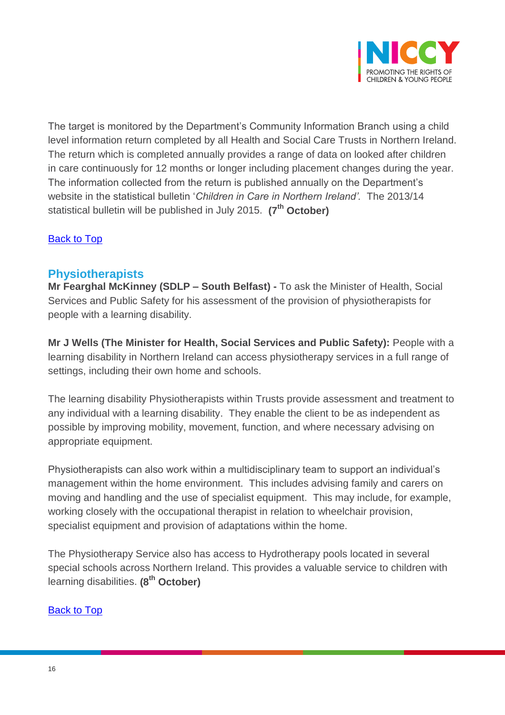

The target is monitored by the Department's Community Information Branch using a child level information return completed by all Health and Social Care Trusts in Northern Ireland. The return which is completed annually provides a range of data on looked after children in care continuously for 12 months or longer including placement changes during the year. The information collected from the return is published annually on the Department's website in the statistical bulletin '*Children in Care in Northern Ireland'.* The 2013/14 statistical bulletin will be published in July 2015. **(7th October)**

## [Back to Top](#page-0-0)

# <span id="page-15-0"></span>**Physiotherapists**

**Mr Fearghal McKinney (SDLP – South Belfast) -** To ask the Minister of Health, Social Services and Public Safety for his assessment of the provision of physiotherapists for people with a learning disability.

**Mr J Wells (The Minister for Health, Social Services and Public Safety):** People with a learning disability in Northern Ireland can access physiotherapy services in a full range of settings, including their own home and schools.

The learning disability Physiotherapists within Trusts provide assessment and treatment to any individual with a learning disability. They enable the client to be as independent as possible by improving mobility, movement, function, and where necessary advising on appropriate equipment.

Physiotherapists can also work within a multidisciplinary team to support an individual's management within the home environment. This includes advising family and carers on moving and handling and the use of specialist equipment. This may include, for example, working closely with the occupational therapist in relation to wheelchair provision, specialist equipment and provision of adaptations within the home.

The Physiotherapy Service also has access to Hydrotherapy pools located in several special schools across Northern Ireland. This provides a valuable service to children with learning disabilities. **(8th October)**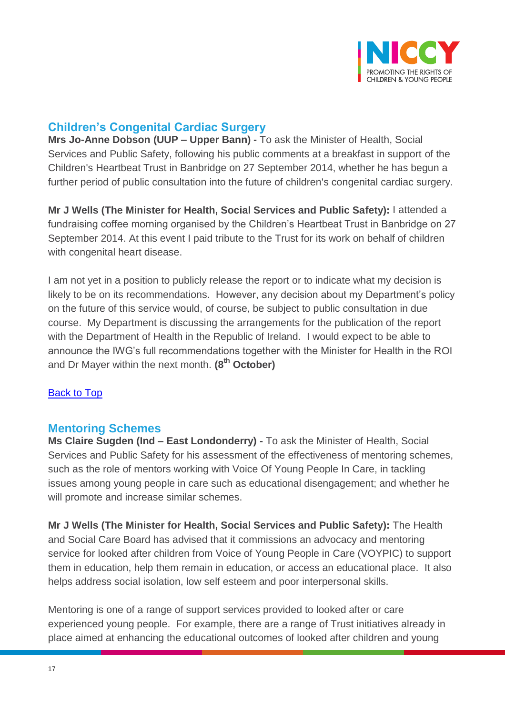

# <span id="page-16-0"></span>**Children's Congenital Cardiac Surgery**

**Mrs Jo-Anne Dobson (UUP – Upper Bann) -** To ask the Minister of Health, Social Services and Public Safety, following his public comments at a breakfast in support of the Children's Heartbeat Trust in Banbridge on 27 September 2014, whether he has begun a further period of public consultation into the future of children's congenital cardiac surgery.

**Mr J Wells (The Minister for Health, Social Services and Public Safety):** I attended a fundraising coffee morning organised by the Children's Heartbeat Trust in Banbridge on 27 September 2014. At this event I paid tribute to the Trust for its work on behalf of children with congenital heart disease.

I am not yet in a position to publicly release the report or to indicate what my decision is likely to be on its recommendations. However, any decision about my Department's policy on the future of this service would, of course, be subject to public consultation in due course. My Department is discussing the arrangements for the publication of the report with the Department of Health in the Republic of Ireland. I would expect to be able to announce the IWG's full recommendations together with the Minister for Health in the ROI and Dr Mayer within the next month. **(8th October)**

## [Back to Top](#page-0-0)

## <span id="page-16-1"></span>**Mentoring Schemes**

**Ms Claire Sugden (Ind – East Londonderry) -** To ask the Minister of Health, Social Services and Public Safety for his assessment of the effectiveness of mentoring schemes, such as the role of mentors working with Voice Of Young People In Care, in tackling issues among young people in care such as educational disengagement; and whether he will promote and increase similar schemes.

**Mr J Wells (The Minister for Health, Social Services and Public Safety):** The Health and Social Care Board has advised that it commissions an advocacy and mentoring service for looked after children from Voice of Young People in Care (VOYPIC) to support them in education, help them remain in education, or access an educational place. It also helps address social isolation, low self esteem and poor interpersonal skills.

Mentoring is one of a range of support services provided to looked after or care experienced young people. For example, there are a range of Trust initiatives already in place aimed at enhancing the educational outcomes of looked after children and young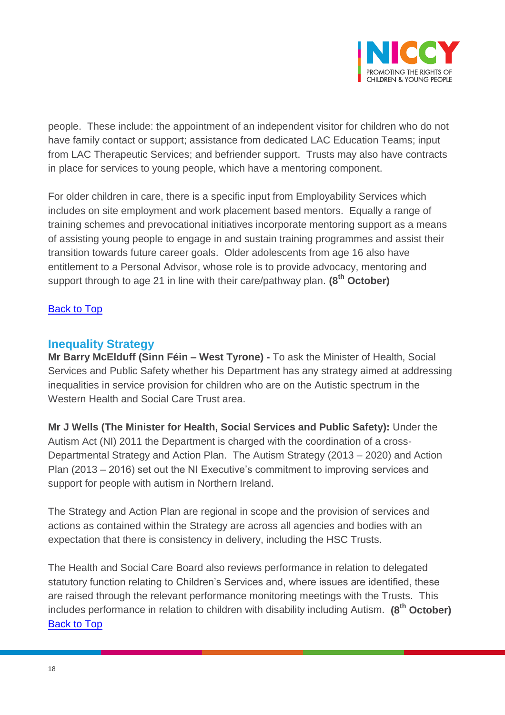

people. These include: the appointment of an independent visitor for children who do not have family contact or support; assistance from dedicated LAC Education Teams; input from LAC Therapeutic Services; and befriender support. Trusts may also have contracts in place for services to young people, which have a mentoring component.

For older children in care, there is a specific input from Employability Services which includes on site employment and work placement based mentors. Equally a range of training schemes and prevocational initiatives incorporate mentoring support as a means of assisting young people to engage in and sustain training programmes and assist their transition towards future career goals. Older adolescents from age 16 also have entitlement to a Personal Advisor, whose role is to provide advocacy, mentoring and support through to age 21 in line with their care/pathway plan. **(8th October)**

## **[Back to Top](#page-0-0)**

## <span id="page-17-0"></span>**Inequality Strategy**

**Mr Barry McElduff (Sinn Féin – West Tyrone) -** To ask the Minister of Health, Social Services and Public Safety whether his Department has any strategy aimed at addressing inequalities in service provision for children who are on the Autistic spectrum in the Western Health and Social Care Trust area.

**Mr J Wells (The Minister for Health, Social Services and Public Safety):** Under the Autism Act (NI) 2011 the Department is charged with the coordination of a cross-Departmental Strategy and Action Plan. The Autism Strategy (2013 – 2020) and Action Plan (2013 – 2016) set out the NI Executive's commitment to improving services and support for people with autism in Northern Ireland.

The Strategy and Action Plan are regional in scope and the provision of services and actions as contained within the Strategy are across all agencies and bodies with an expectation that there is consistency in delivery, including the HSC Trusts.

The Health and Social Care Board also reviews performance in relation to delegated statutory function relating to Children's Services and, where issues are identified, these are raised through the relevant performance monitoring meetings with the Trusts. This includes performance in relation to children with disability including Autism. **(8th October)** [Back to Top](#page-0-0)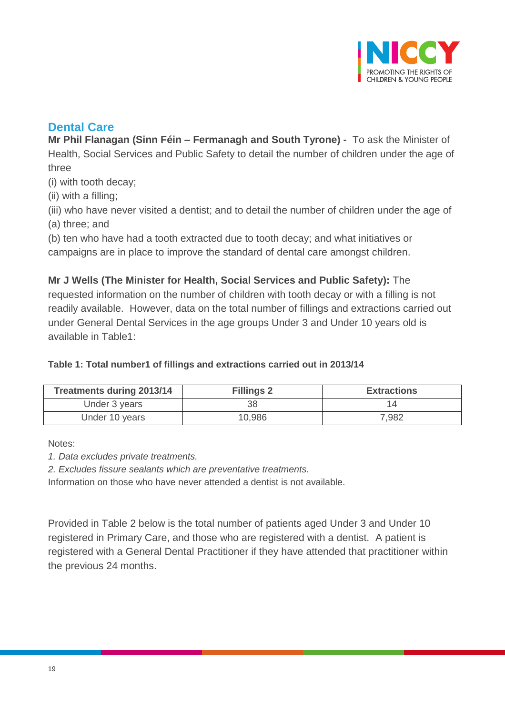

# <span id="page-18-0"></span>**Dental Care**

**Mr Phil Flanagan (Sinn Féin – Fermanagh and South Tyrone) -** To ask the Minister of Health, Social Services and Public Safety to detail the number of children under the age of three

(i) with tooth decay;

(ii) with a filling;

(iii) who have never visited a dentist; and to detail the number of children under the age of (a) three; and

(b) ten who have had a tooth extracted due to tooth decay; and what initiatives or campaigns are in place to improve the standard of dental care amongst children.

**Mr J Wells (The Minister for Health, Social Services and Public Safety):** The

requested information on the number of children with tooth decay or with a filling is not readily available. However, data on the total number of fillings and extractions carried out under General Dental Services in the age groups Under 3 and Under 10 years old is available in Table1:

## **Table 1: Total number1 of fillings and extractions carried out in 2013/14**

| <b>Treatments during 2013/14</b> | <b>Fillings 2</b> | <b>Extractions</b> |
|----------------------------------|-------------------|--------------------|
| Under 3 years                    | 38                |                    |
| Under 10 years                   | 10,986            | 7,982              |

Notes:

*1. Data excludes private treatments.*

*2. Excludes fissure sealants which are preventative treatments.*

Information on those who have never attended a dentist is not available.

Provided in Table 2 below is the total number of patients aged Under 3 and Under 10 registered in Primary Care, and those who are registered with a dentist. A patient is registered with a General Dental Practitioner if they have attended that practitioner within the previous 24 months.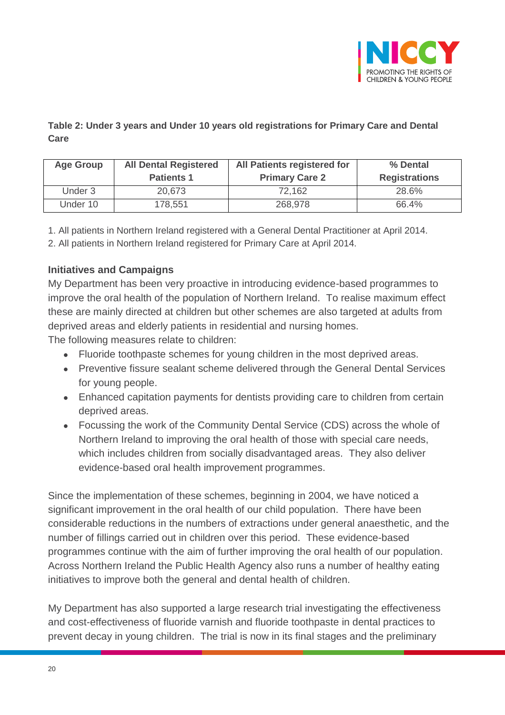

## **Table 2: Under 3 years and Under 10 years old registrations for Primary Care and Dental Care**

| <b>Age Group</b> | <b>All Dental Registered</b><br><b>Patients 1</b> | All Patients registered for<br><b>Primary Care 2</b> | % Dental<br><b>Registrations</b> |
|------------------|---------------------------------------------------|------------------------------------------------------|----------------------------------|
| Under 3          | 20,673                                            | 72,162                                               | 28.6%                            |
| Under 10         | 178,551                                           | 268,978                                              | 66.4%                            |

1. All patients in Northern Ireland registered with a General Dental Practitioner at April 2014.

2. All patients in Northern Ireland registered for Primary Care at April 2014.

## **Initiatives and Campaigns**

My Department has been very proactive in introducing evidence-based programmes to improve the oral health of the population of Northern Ireland. To realise maximum effect these are mainly directed at children but other schemes are also targeted at adults from deprived areas and elderly patients in residential and nursing homes.

The following measures relate to children:

- Fluoride toothpaste schemes for young children in the most deprived areas.
- Preventive fissure sealant scheme delivered through the General Dental Services for young people.
- Enhanced capitation payments for dentists providing care to children from certain deprived areas.
- Focussing the work of the Community Dental Service (CDS) across the whole of Northern Ireland to improving the oral health of those with special care needs, which includes children from socially disadvantaged areas. They also deliver evidence-based oral health improvement programmes.

Since the implementation of these schemes, beginning in 2004, we have noticed a significant improvement in the oral health of our child population. There have been considerable reductions in the numbers of extractions under general anaesthetic, and the number of fillings carried out in children over this period. These evidence-based programmes continue with the aim of further improving the oral health of our population. Across Northern Ireland the Public Health Agency also runs a number of healthy eating initiatives to improve both the general and dental health of children.

My Department has also supported a large research trial investigating the effectiveness and cost-effectiveness of fluoride varnish and fluoride toothpaste in dental practices to prevent decay in young children. The trial is now in its final stages and the preliminary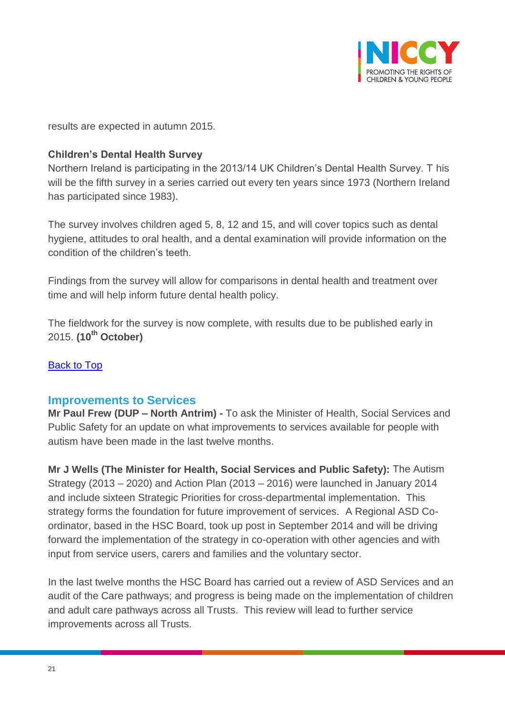

results are expected in autumn 2015.

## **Children's Dental Health Survey**

Northern Ireland is participating in the 2013/14 UK Children's Dental Health Survey. T his will be the fifth survey in a series carried out every ten years since 1973 (Northern Ireland has participated since 1983).

The survey involves children aged 5, 8, 12 and 15, and will cover topics such as dental hygiene, attitudes to oral health, and a dental examination will provide information on the condition of the children's teeth.

Findings from the survey will allow for comparisons in dental health and treatment over time and will help inform future dental health policy.

The fieldwork for the survey is now complete, with results due to be published early in 2015. **(10th October)**

## [Back to Top](#page-0-0)

## <span id="page-20-0"></span>**Improvements to Services**

**Mr Paul Frew (DUP – North Antrim) -** To ask the Minister of Health, Social Services and Public Safety for an update on what improvements to services available for people with autism have been made in the last twelve months.

**Mr J Wells (The Minister for Health, Social Services and Public Safety):** The Autism Strategy (2013 – 2020) and Action Plan (2013 – 2016) were launched in January 2014 and include sixteen Strategic Priorities for cross-departmental implementation. This strategy forms the foundation for future improvement of services. A Regional ASD Coordinator, based in the HSC Board, took up post in September 2014 and will be driving forward the implementation of the strategy in co-operation with other agencies and with input from service users, carers and families and the voluntary sector.

In the last twelve months the HSC Board has carried out a review of ASD Services and an audit of the Care pathways; and progress is being made on the implementation of children and adult care pathways across all Trusts. This review will lead to further service improvements across all Trusts.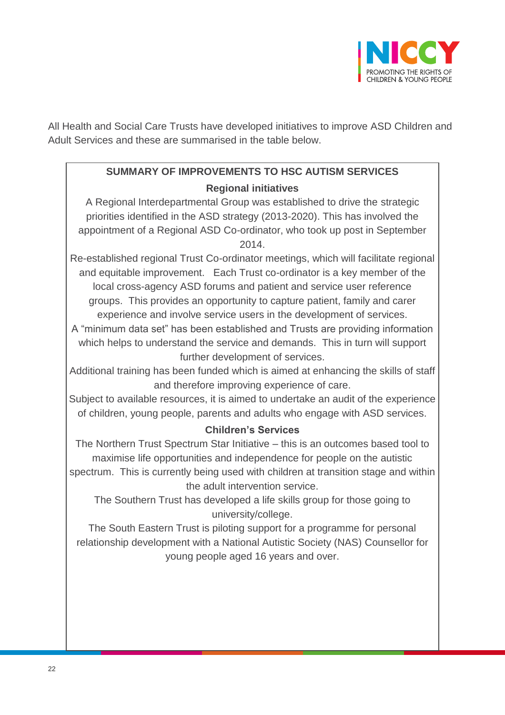

All Health and Social Care Trusts have developed initiatives to improve ASD Children and Adult Services and these are summarised in the table below.

# **SUMMARY OF IMPROVEMENTS TO HSC AUTISM SERVICES Regional initiatives**

A Regional Interdepartmental Group was established to drive the strategic priorities identified in the ASD strategy (2013-2020). This has involved the appointment of a Regional ASD Co-ordinator, who took up post in September 2014.

Re-established regional Trust Co-ordinator meetings, which will facilitate regional and equitable improvement. Each Trust co-ordinator is a key member of the local cross-agency ASD forums and patient and service user reference groups. This provides an opportunity to capture patient, family and carer experience and involve service users in the development of services.

A "minimum data set" has been established and Trusts are providing information which helps to understand the service and demands. This in turn will support further development of services.

Additional training has been funded which is aimed at enhancing the skills of staff and therefore improving experience of care.

Subject to available resources, it is aimed to undertake an audit of the experience of children, young people, parents and adults who engage with ASD services.

## **Children's Services**

The Northern Trust Spectrum Star Initiative – this is an outcomes based tool to maximise life opportunities and independence for people on the autistic spectrum. This is currently being used with children at transition stage and within the adult intervention service.

The Southern Trust has developed a life skills group for those going to university/college.

The South Eastern Trust is piloting support for a programme for personal relationship development with a National Autistic Society (NAS) Counsellor for young people aged 16 years and over.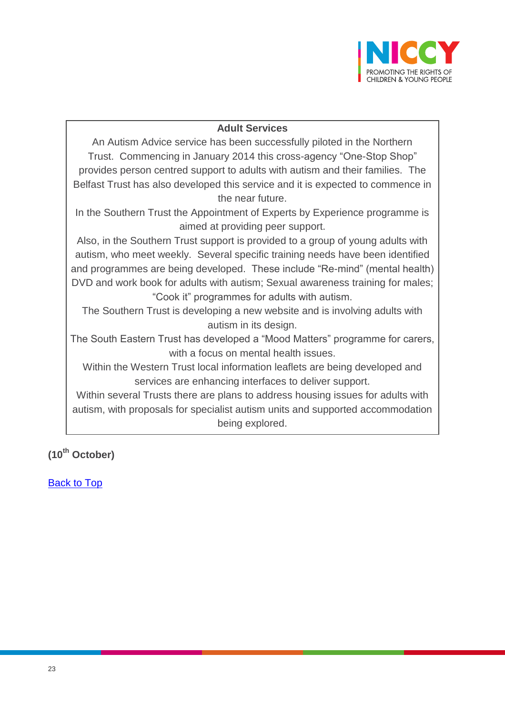

#### **Adult Services**

An Autism Advice service has been successfully piloted in the Northern Trust. Commencing in January 2014 this cross-agency "One-Stop Shop" provides person centred support to adults with autism and their families. The Belfast Trust has also developed this service and it is expected to commence in the near future.

In the Southern Trust the Appointment of Experts by Experience programme is aimed at providing peer support.

Also, in the Southern Trust support is provided to a group of young adults with autism, who meet weekly. Several specific training needs have been identified and programmes are being developed. These include "Re-mind" (mental health) DVD and work book for adults with autism; Sexual awareness training for males; "Cook it" programmes for adults with autism.

The Southern Trust is developing a new website and is involving adults with autism in its design.

The South Eastern Trust has developed a "Mood Matters" programme for carers, with a focus on mental health issues.

Within the Western Trust local information leaflets are being developed and services are enhancing interfaces to deliver support.

Within several Trusts there are plans to address housing issues for adults with autism, with proposals for specialist autism units and supported accommodation being explored.

**(10th October)**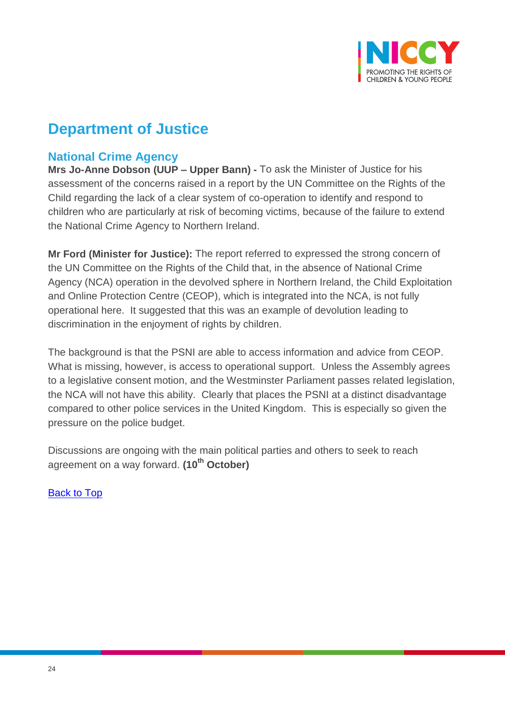

# **Department of Justice**

# <span id="page-23-0"></span>**National Crime Agency**

**Mrs Jo-Anne Dobson (UUP – Upper Bann) -** To ask the Minister of Justice for his assessment of the concerns raised in a report by the UN Committee on the Rights of the Child regarding the lack of a clear system of co-operation to identify and respond to children who are particularly at risk of becoming victims, because of the failure to extend the National Crime Agency to Northern Ireland.

**Mr Ford (Minister for Justice):** The report referred to expressed the strong concern of the UN Committee on the Rights of the Child that, in the absence of National Crime Agency (NCA) operation in the devolved sphere in Northern Ireland, the Child Exploitation and Online Protection Centre (CEOP), which is integrated into the NCA, is not fully operational here. It suggested that this was an example of devolution leading to discrimination in the enjoyment of rights by children.

The background is that the PSNI are able to access information and advice from CEOP. What is missing, however, is access to operational support. Unless the Assembly agrees to a legislative consent motion, and the Westminster Parliament passes related legislation, the NCA will not have this ability. Clearly that places the PSNI at a distinct disadvantage compared to other police services in the United Kingdom. This is especially so given the pressure on the police budget.

Discussions are ongoing with the main political parties and others to seek to reach agreement on a way forward. **(10th October)**